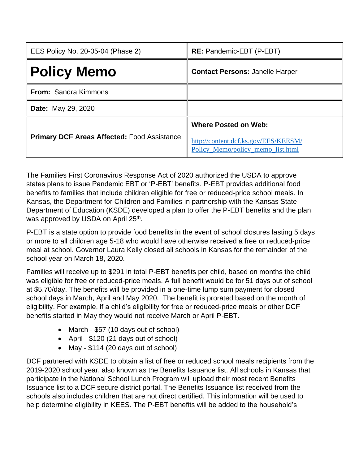| EES Policy No. 20-05-04 (Phase 2)                  | <b>RE:</b> Pandemic-EBT (P-EBT)                                                                          |
|----------------------------------------------------|----------------------------------------------------------------------------------------------------------|
| <b>Policy Memo</b>                                 | <b>Contact Persons: Janelle Harper</b>                                                                   |
| <b>From: Sandra Kimmons</b>                        |                                                                                                          |
| <b>Date:</b> May 29, 2020                          |                                                                                                          |
| <b>Primary DCF Areas Affected: Food Assistance</b> | <b>Where Posted on Web:</b><br>http://content.dcf.ks.gov/EES/KEESM/<br>Policy_Memo/policy_memo_list.html |

The Families First Coronavirus Response Act of 2020 authorized the USDA to approve states plans to issue Pandemic EBT or 'P-EBT' benefits. P-EBT provides additional food benefits to families that include children eligible for free or reduced-price school meals. In Kansas, the Department for Children and Families in partnership with the Kansas State Department of Education (KSDE) developed a plan to offer the P-EBT benefits and the plan was approved by USDA on April 25<sup>th</sup>.

P-EBT is a state option to provide food benefits in the event of school closures lasting 5 days or more to all children age 5-18 who would have otherwise received a free or reduced-price meal at school. Governor Laura Kelly closed all schools in Kansas for the remainder of the school year on March 18, 2020.

Families will receive up to \$291 in total P-EBT benefits per child, based on months the child was eligible for free or reduced-price meals. A full benefit would be for 51 days out of school at \$5.70/day. The benefits will be provided in a one-time lump sum payment for closed school days in March, April and May 2020. The benefit is prorated based on the month of eligibility. For example, if a child's eligibility for free or reduced-price meals or other DCF benefits started in May they would not receive March or April P-EBT.

- March \$57 (10 days out of school)
- April \$120 (21 days out of school)
- May \$114 (20 days out of school)

DCF partnered with KSDE to obtain a list of free or reduced school meals recipients from the 2019-2020 school year, also known as the Benefits Issuance list. All schools in Kansas that participate in the National School Lunch Program will upload their most recent Benefits Issuance list to a DCF secure district portal. The Benefits Issuance list received from the schools also includes children that are not direct certified. This information will be used to help determine eligibility in KEES. The P-EBT benefits will be added to the household's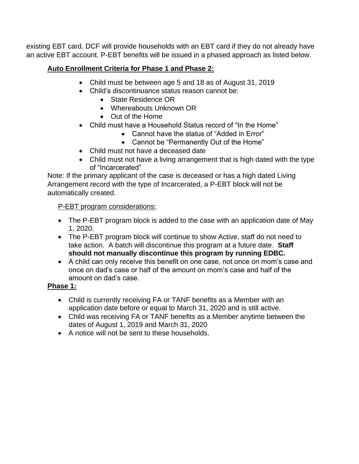existing EBT card. DCF will provide households with an EBT card if they do not already have an active EBT account. P-EBT benefits will be issued in a phased approach as listed below.

## **Auto Enrollment Criteria for Phase 1 and Phase 2:**

- Child must be between age 5 and 18 as of August 31, 2019
- Child's discontinuance status reason cannot be:
	- State Residence OR
	- Whereabouts Unknown OR
	- Out of the Home
- Child must have a Household Status record of "In the Home"
	- Cannot have the status of "Added in Error"
	- Cannot be "Permanently Out of the Home"
- Child must not have a deceased date
- Child must not have a living arrangement that is high dated with the type of "Incarcerated"

Note: If the primary applicant of the case is deceased or has a high dated Living Arrangement record with the type of Incarcerated, a P-EBT block will not be automatically created.

# P-EBT program considerations:

- The P-EBT program block is added to the case with an application date of May 1, 2020.
- The P-EBT program block will continue to show Active, staff do not need to take action. A batch will discontinue this program at a future date. **Staff should not manually discontinue this program by running EDBC.**
- A child can only receive this benefit on one case, not once on mom's case and once on dad's case or half of the amount on mom's case and half of the amount on dad's case.

## **Phase 1:**

- Child is currently receiving FA or TANF benefits as a Member with an application date before or equal to March 31, 2020 and is still active.
- Child was receiving FA or TANF benefits as a Member anytime between the dates of August 1, 2019 and March 31, 2020
- A notice will not be sent to these households.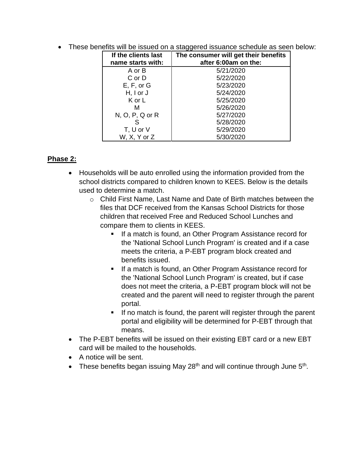| If the clients last<br>name starts with: | The consumer will get their benefits<br>after 6:00am on the: |
|------------------------------------------|--------------------------------------------------------------|
| A or B                                   | 5/21/2020                                                    |
| C or D                                   | 5/22/2020                                                    |
| E, F, or G                               | 5/23/2020                                                    |
| $H, I$ or $J$                            | 5/24/2020                                                    |
| K or L                                   | 5/25/2020                                                    |
| м                                        | 5/26/2020                                                    |
| $N, O, P, Q$ or $R$                      | 5/27/2020                                                    |
|                                          | 5/28/2020                                                    |
| T, U or V                                | 5/29/2020                                                    |
| W, X, Y or Z                             | 5/30/2020                                                    |

• These benefits will be issued on a staggered issuance schedule as seen below:

#### **Phase 2:**

- Households will be auto enrolled using the information provided from the school districts compared to children known to KEES. Below is the details used to determine a match.
	- $\circ$  Child First Name, Last Name and Date of Birth matches between the files that DCF received from the Kansas School Districts for those children that received Free and Reduced School Lunches and compare them to clients in KEES.
		- If a match is found, an Other Program Assistance record for the 'National School Lunch Program' is created and if a case meets the criteria, a P-EBT program block created and benefits issued.
		- If a match is found, an Other Program Assistance record for the 'National School Lunch Program' is created, but if case does not meet the criteria, a P-EBT program block will not be created and the parent will need to register through the parent portal.
		- If no match is found, the parent will register through the parent portal and eligibility will be determined for P-EBT through that means.
- The P-EBT benefits will be issued on their existing EBT card or a new EBT card will be mailed to the households.
- A notice will be sent.
- These benefits began issuing May 28<sup>th</sup> and will continue through June  $5<sup>th</sup>$ .